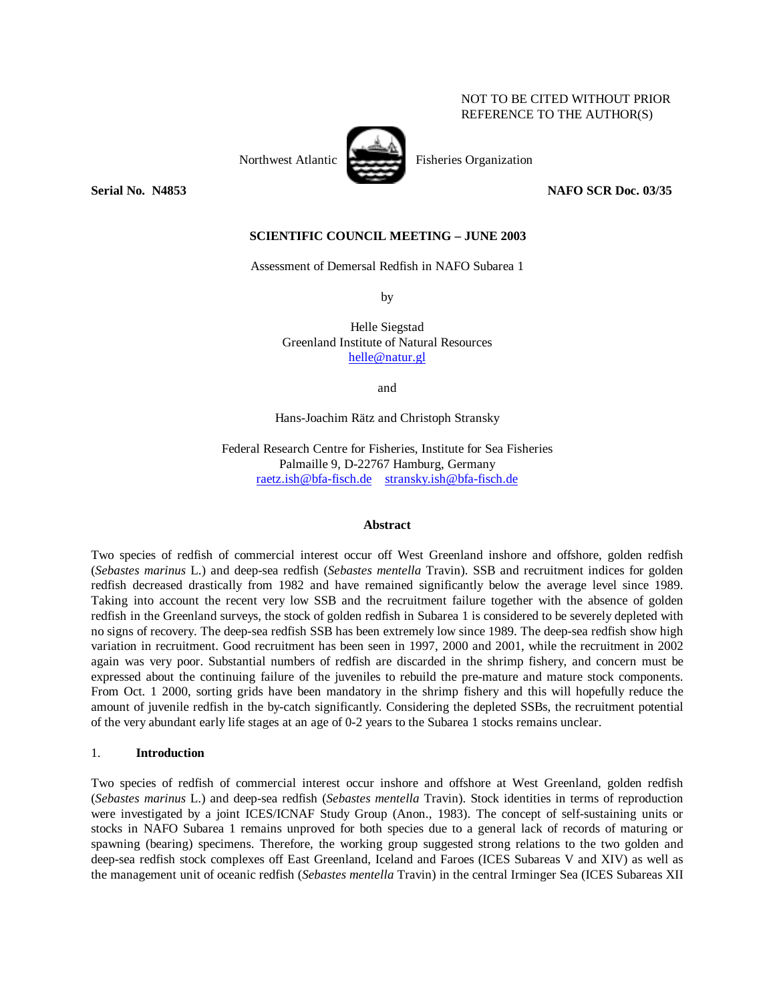### NOT TO BE CITED WITHOUT PRIOR REFERENCE TO THE AUTHOR(S)

Northwest Atlantic Fisheries Organization

#### **Serial No. N4853 NAFO SCR Doc. 03/35**

### **SCIENTIFIC COUNCIL MEETING – JUNE 2003**

Assessment of Demersal Redfish in NAFO Subarea 1

by

Helle Siegstad Greenland Institute of Natural Resources helle@natur.gl

and

Hans-Joachim Rätz and Christoph Stransky

Federal Research Centre for Fisheries, Institute for Sea Fisheries Palmaille 9, D-22767 Hamburg, Germany raetz.ish@bfa-fisch.de stransky.ish@bfa-fisch.de

#### **Abstract**

Two species of redfish of commercial interest occur off West Greenland inshore and offshore, golden redfish (*Sebastes marinus* L.) and deep-sea redfish (*Sebastes mentella* Travin). SSB and recruitment indices for golden redfish decreased drastically from 1982 and have remained significantly below the average level since 1989. Taking into account the recent very low SSB and the recruitment failure together with the absence of golden redfish in the Greenland surveys, the stock of golden redfish in Subarea 1 is considered to be severely depleted with no signs of recovery. The deep-sea redfish SSB has been extremely low since 1989. The deep-sea redfish show high variation in recruitment. Good recruitment has been seen in 1997, 2000 and 2001, while the recruitment in 2002 again was very poor. Substantial numbers of redfish are discarded in the shrimp fishery, and concern must be expressed about the continuing failure of the juveniles to rebuild the pre-mature and mature stock components. From Oct. 1 2000, sorting grids have been mandatory in the shrimp fishery and this will hopefully reduce the amount of juvenile redfish in the by-catch significantly. Considering the depleted SSBs, the recruitment potential of the very abundant early life stages at an age of 0-2 years to the Subarea 1 stocks remains unclear.

### 1. **Introduction**

Two species of redfish of commercial interest occur inshore and offshore at West Greenland, golden redfish (*Sebastes marinus* L.) and deep-sea redfish (*Sebastes mentella* Travin). Stock identities in terms of reproduction were investigated by a joint ICES/ICNAF Study Group (Anon., 1983). The concept of self-sustaining units or stocks in NAFO Subarea 1 remains unproved for both species due to a general lack of records of maturing or spawning (bearing) specimens. Therefore, the working group suggested strong relations to the two golden and deep-sea redfish stock complexes off East Greenland, Iceland and Faroes (ICES Subareas V and XIV) as well as the management unit of oceanic redfish (*Sebastes mentella* Travin) in the central Irminger Sea (ICES Subareas XII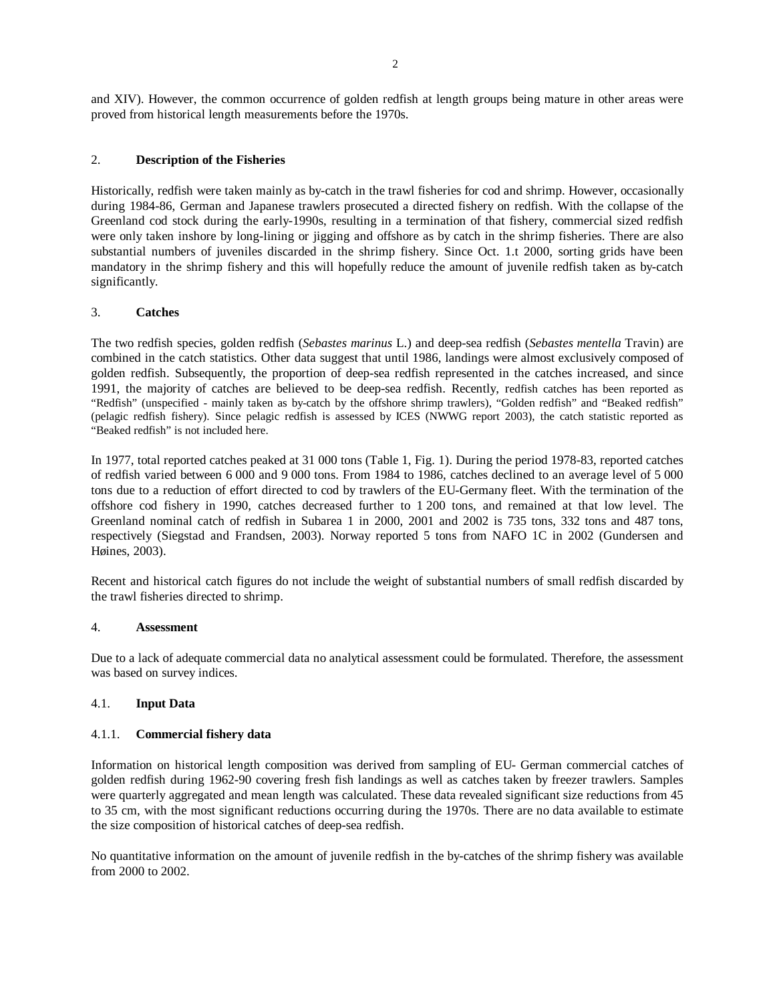and XIV). However, the common occurrence of golden redfish at length groups being mature in other areas were proved from historical length measurements before the 1970s.

# 2. **Description of the Fisheries**

Historically, redfish were taken mainly as by-catch in the trawl fisheries for cod and shrimp. However, occasionally during 1984-86, German and Japanese trawlers prosecuted a directed fishery on redfish. With the collapse of the Greenland cod stock during the early-1990s, resulting in a termination of that fishery, commercial sized redfish were only taken inshore by long-lining or jigging and offshore as by catch in the shrimp fisheries. There are also substantial numbers of juveniles discarded in the shrimp fishery. Since Oct. 1.t 2000, sorting grids have been mandatory in the shrimp fishery and this will hopefully reduce the amount of juvenile redfish taken as by-catch significantly.

### 3. **Catches**

The two redfish species, golden redfish (*Sebastes marinus* L.) and deep-sea redfish (*Sebastes mentella* Travin) are combined in the catch statistics. Other data suggest that until 1986, landings were almost exclusively composed of golden redfish. Subsequently, the proportion of deep-sea redfish represented in the catches increased, and since 1991, the majority of catches are believed to be deep-sea redfish. Recently, redfish catches has been reported as "Redfish" (unspecified - mainly taken as by-catch by the offshore shrimp trawlers), "Golden redfish" and "Beaked redfish" (pelagic redfish fishery). Since pelagic redfish is assessed by ICES (NWWG report 2003), the catch statistic reported as "Beaked redfish" is not included here.

In 1977, total reported catches peaked at 31 000 tons (Table 1, Fig. 1). During the period 1978-83, reported catches of redfish varied between 6 000 and 9 000 tons. From 1984 to 1986, catches declined to an average level of 5 000 tons due to a reduction of effort directed to cod by trawlers of the EU-Germany fleet. With the termination of the offshore cod fishery in 1990, catches decreased further to 1 200 tons, and remained at that low level. The Greenland nominal catch of redfish in Subarea 1 in 2000, 2001 and 2002 is 735 tons, 332 tons and 487 tons, respectively (Siegstad and Frandsen, 2003). Norway reported 5 tons from NAFO 1C in 2002 (Gundersen and Høines, 2003).

Recent and historical catch figures do not include the weight of substantial numbers of small redfish discarded by the trawl fisheries directed to shrimp.

### 4. **Assessment**

Due to a lack of adequate commercial data no analytical assessment could be formulated. Therefore, the assessment was based on survey indices.

# 4.1. **Input Data**

### 4.1.1. **Commercial fishery data**

Information on historical length composition was derived from sampling of EU- German commercial catches of golden redfish during 1962-90 covering fresh fish landings as well as catches taken by freezer trawlers. Samples were quarterly aggregated and mean length was calculated. These data revealed significant size reductions from 45 to 35 cm, with the most significant reductions occurring during the 1970s. There are no data available to estimate the size composition of historical catches of deep-sea redfish.

No quantitative information on the amount of juvenile redfish in the by-catches of the shrimp fishery was available from 2000 to 2002.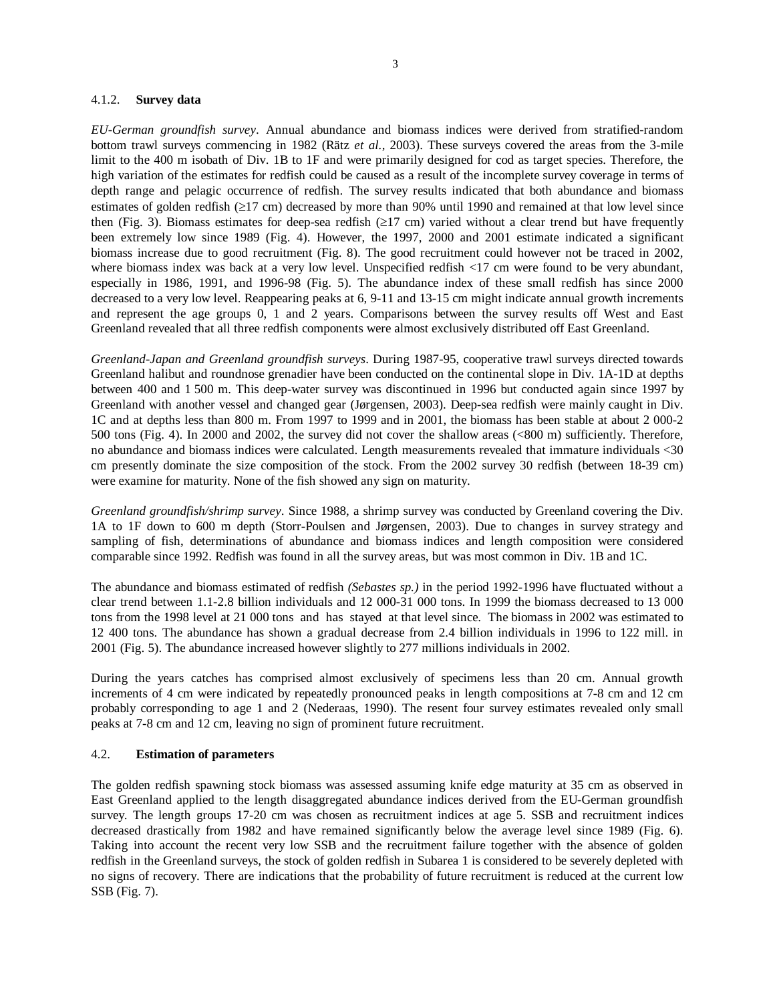#### 4.1.2. **Survey data**

*EU-German groundfish survey*. Annual abundance and biomass indices were derived from stratified-random bottom trawl surveys commencing in 1982 (Rätz *et al.*, 2003). These surveys covered the areas from the 3-mile limit to the 400 m isobath of Div. 1B to 1F and were primarily designed for cod as target species. Therefore, the high variation of the estimates for redfish could be caused as a result of the incomplete survey coverage in terms of depth range and pelagic occurrence of redfish. The survey results indicated that both abundance and biomass estimates of golden redfish (≥17 cm) decreased by more than 90% until 1990 and remained at that low level since then (Fig. 3). Biomass estimates for deep-sea redfish  $(\geq 17 \text{ cm})$  varied without a clear trend but have frequently been extremely low since 1989 (Fig. 4). However, the 1997, 2000 and 2001 estimate indicated a significant biomass increase due to good recruitment (Fig. 8). The good recruitment could however not be traced in 2002, where biomass index was back at a very low level. Unspecified redfish <17 cm were found to be very abundant, especially in 1986, 1991, and 1996-98 (Fig. 5). The abundance index of these small redfish has since 2000 decreased to a very low level. Reappearing peaks at 6, 9-11 and 13-15 cm might indicate annual growth increments and represent the age groups 0, 1 and 2 years. Comparisons between the survey results off West and East Greenland revealed that all three redfish components were almost exclusively distributed off East Greenland.

*Greenland-Japan and Greenland groundfish surveys*. During 1987-95, cooperative trawl surveys directed towards Greenland halibut and roundnose grenadier have been conducted on the continental slope in Div. 1A-1D at depths between 400 and 1 500 m. This deep-water survey was discontinued in 1996 but conducted again since 1997 by Greenland with another vessel and changed gear (Jørgensen, 2003). Deep-sea redfish were mainly caught in Div. 1C and at depths less than 800 m. From 1997 to 1999 and in 2001, the biomass has been stable at about 2 000-2 500 tons (Fig. 4). In 2000 and 2002, the survey did not cover the shallow areas (<800 m) sufficiently. Therefore, no abundance and biomass indices were calculated. Length measurements revealed that immature individuals <30 cm presently dominate the size composition of the stock. From the 2002 survey 30 redfish (between 18-39 cm) were examine for maturity. None of the fish showed any sign on maturity.

*Greenland groundfish/shrimp survey*. Since 1988, a shrimp survey was conducted by Greenland covering the Div. 1A to 1F down to 600 m depth (Storr-Poulsen and Jørgensen, 2003). Due to changes in survey strategy and sampling of fish, determinations of abundance and biomass indices and length composition were considered comparable since 1992. Redfish was found in all the survey areas, but was most common in Div. 1B and 1C.

The abundance and biomass estimated of redfish *(Sebastes sp.)* in the period 1992-1996 have fluctuated without a clear trend between 1.1-2.8 billion individuals and 12 000-31 000 tons. In 1999 the biomass decreased to 13 000 tons from the 1998 level at 21 000 tons and has stayed at that level since. The biomass in 2002 was estimated to 12 400 tons. The abundance has shown a gradual decrease from 2.4 billion individuals in 1996 to 122 mill. in 2001 (Fig. 5). The abundance increased however slightly to 277 millions individuals in 2002.

During the years catches has comprised almost exclusively of specimens less than 20 cm. Annual growth increments of 4 cm were indicated by repeatedly pronounced peaks in length compositions at 7-8 cm and 12 cm probably corresponding to age 1 and 2 (Nederaas, 1990). The resent four survey estimates revealed only small peaks at 7-8 cm and 12 cm, leaving no sign of prominent future recruitment.

### 4.2. **Estimation of parameters**

The golden redfish spawning stock biomass was assessed assuming knife edge maturity at 35 cm as observed in East Greenland applied to the length disaggregated abundance indices derived from the EU-German groundfish survey. The length groups 17-20 cm was chosen as recruitment indices at age 5. SSB and recruitment indices decreased drastically from 1982 and have remained significantly below the average level since 1989 (Fig. 6). Taking into account the recent very low SSB and the recruitment failure together with the absence of golden redfish in the Greenland surveys, the stock of golden redfish in Subarea 1 is considered to be severely depleted with no signs of recovery. There are indications that the probability of future recruitment is reduced at the current low SSB (Fig. 7).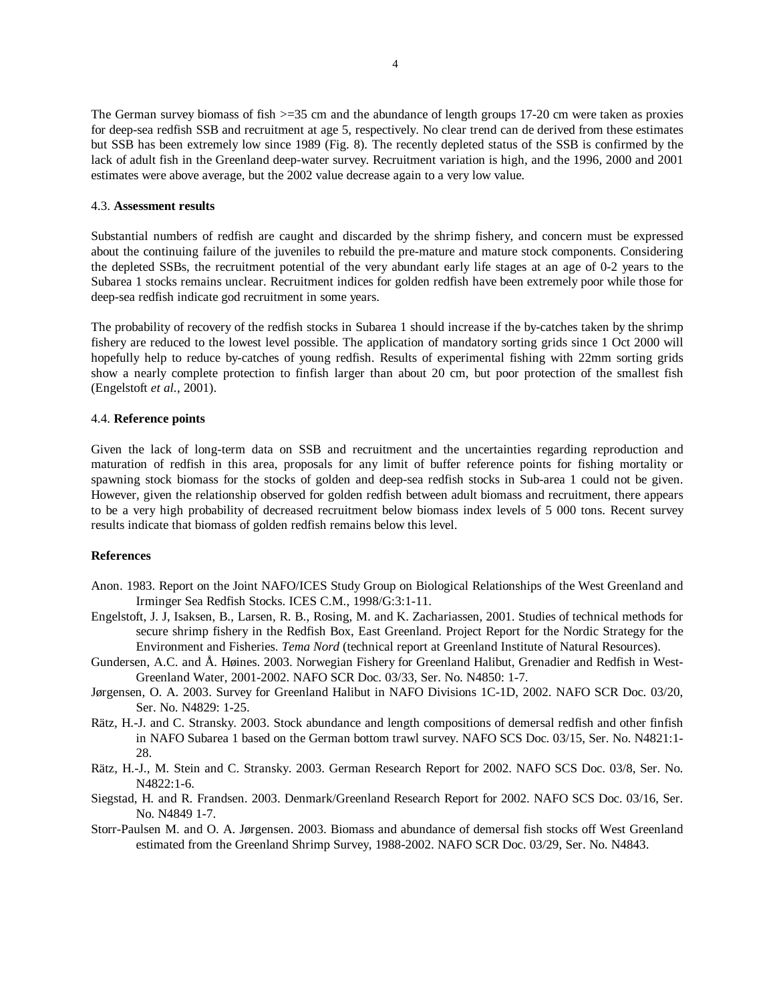The German survey biomass of fish  $>=35$  cm and the abundance of length groups 17-20 cm were taken as proxies for deep-sea redfish SSB and recruitment at age 5, respectively. No clear trend can de derived from these estimates but SSB has been extremely low since 1989 (Fig. 8). The recently depleted status of the SSB is confirmed by the lack of adult fish in the Greenland deep-water survey. Recruitment variation is high, and the 1996, 2000 and 2001 estimates were above average, but the 2002 value decrease again to a very low value.

#### 4.3. **Assessment results**

Substantial numbers of redfish are caught and discarded by the shrimp fishery, and concern must be expressed about the continuing failure of the juveniles to rebuild the pre-mature and mature stock components. Considering the depleted SSBs, the recruitment potential of the very abundant early life stages at an age of 0-2 years to the Subarea 1 stocks remains unclear. Recruitment indices for golden redfish have been extremely poor while those for deep-sea redfish indicate god recruitment in some years.

The probability of recovery of the redfish stocks in Subarea 1 should increase if the by-catches taken by the shrimp fishery are reduced to the lowest level possible. The application of mandatory sorting grids since 1 Oct 2000 will hopefully help to reduce by-catches of young redfish. Results of experimental fishing with 22mm sorting grids show a nearly complete protection to finfish larger than about 20 cm, but poor protection of the smallest fish (Engelstoft *et al.*, 2001).

# 4.4. **Reference points**

Given the lack of long-term data on SSB and recruitment and the uncertainties regarding reproduction and maturation of redfish in this area, proposals for any limit of buffer reference points for fishing mortality or spawning stock biomass for the stocks of golden and deep-sea redfish stocks in Sub-area 1 could not be given. However, given the relationship observed for golden redfish between adult biomass and recruitment, there appears to be a very high probability of decreased recruitment below biomass index levels of 5 000 tons. Recent survey results indicate that biomass of golden redfish remains below this level.

# **References**

- Anon. 1983. Report on the Joint NAFO/ICES Study Group on Biological Relationships of the West Greenland and Irminger Sea Redfish Stocks. ICES C.M., 1998/G:3:1-11.
- Engelstoft, J. J, Isaksen, B., Larsen, R. B., Rosing, M. and K. Zachariassen, 2001. Studies of technical methods for secure shrimp fishery in the Redfish Box, East Greenland. Project Report for the Nordic Strategy for the Environment and Fisheries. *Tema Nord* (technical report at Greenland Institute of Natural Resources).
- Gundersen, A.C. and Å. Høines. 2003. Norwegian Fishery for Greenland Halibut, Grenadier and Redfish in West-Greenland Water, 2001-2002. NAFO SCR Doc. 03/33, Ser. No. N4850: 1-7.
- Jørgensen, O. A. 2003. Survey for Greenland Halibut in NAFO Divisions 1C-1D, 2002. NAFO SCR Doc. 03/20, Ser. No. N4829: 1-25.
- Rätz, H.-J. and C. Stransky. 2003. Stock abundance and length compositions of demersal redfish and other finfish in NAFO Subarea 1 based on the German bottom trawl survey. NAFO SCS Doc. 03/15, Ser. No. N4821:1- 28.
- Rätz, H.-J., M. Stein and C. Stransky. 2003. German Research Report for 2002. NAFO SCS Doc. 03/8, Ser. No.  $N4822:1-6$
- Siegstad, H. and R. Frandsen. 2003. Denmark/Greenland Research Report for 2002. NAFO SCS Doc. 03/16, Ser. No. N4849 1-7.
- Storr-Paulsen M. and O. A. Jørgensen. 2003. Biomass and abundance of demersal fish stocks off West Greenland estimated from the Greenland Shrimp Survey, 1988-2002. NAFO SCR Doc. 03/29, Ser. No. N4843.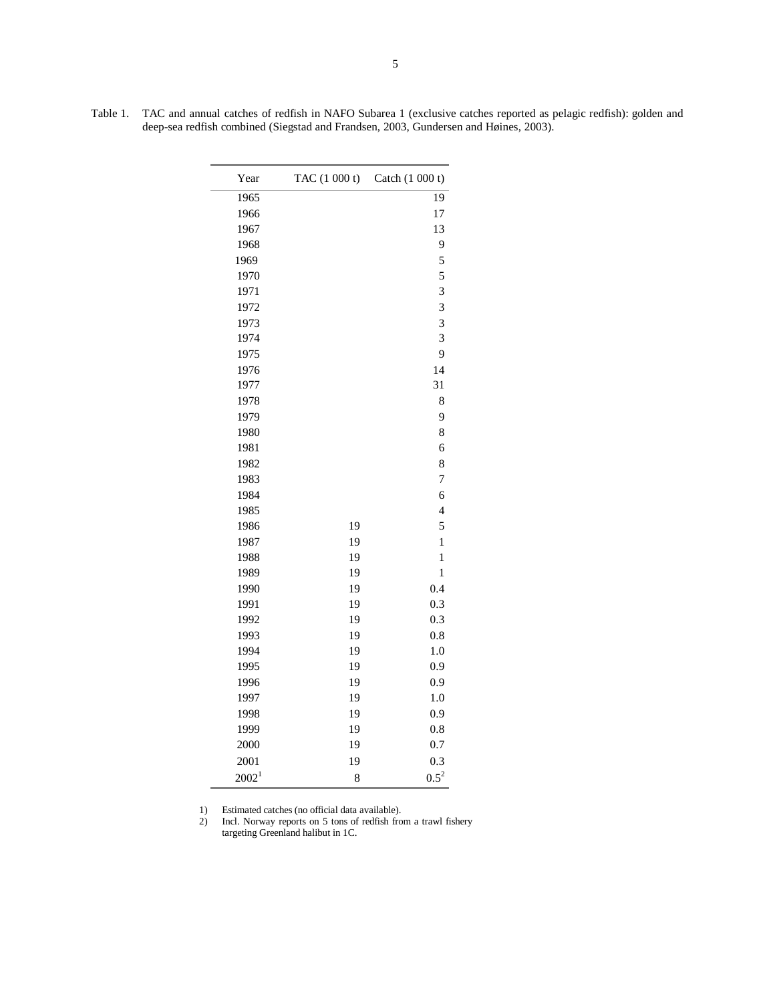Table 1. TAC and annual catches of redfish in NAFO Subarea 1 (exclusive catches reported as pelagic redfish): golden and deep-sea redfish combined (Siegstad and Frandsen, 2003, Gundersen and Høines, 2003).

| Year              | TAC (1 000 t) | Catch (1 000 t)          |
|-------------------|---------------|--------------------------|
| 1965              |               | 19                       |
| 1966              |               | 17                       |
| 1967              |               | 13                       |
| 1968              |               | 9                        |
| 1969              |               | 5                        |
| 1970              |               | 5                        |
| 1971              |               | 3                        |
| 1972              |               | 3                        |
| 1973              |               | 3                        |
| 1974              |               | 3                        |
| 1975              |               | 9                        |
| 1976              |               | 14                       |
| 1977              |               | 31                       |
| 1978              |               | 8                        |
| 1979              |               | 9                        |
| 1980              |               | 8                        |
| 1981              |               | 6                        |
| 1982              |               | 8                        |
| 1983              |               | $\overline{7}$           |
| 1984              |               | 6                        |
| 1985              |               | $\overline{\mathcal{L}}$ |
| 1986              | 19            | 5                        |
| 1987              | 19            | $\,1$                    |
| 1988              | 19            | $\mathbf{1}$             |
| 1989              | 19            | $\mathbf{1}$             |
| 1990              | 19            | 0.4                      |
| 1991              | 19            | 0.3                      |
| 1992              | 19            | 0.3                      |
| 1993              | 19            | 0.8                      |
| 1994              | 19            | 1.0                      |
| 1995              | 19            | 0.9                      |
| 1996              | 19            | 0.9                      |
| 1997              | 19            | 1.0                      |
| 1998              | 19            | 0.9                      |
| 1999              | 19            | 0.8                      |
| 2000              | 19            | 0.7                      |
| 2001              | 19            | 0.3                      |
| 2002 <sup>1</sup> | 8             | $0.5^2$                  |

1) Estimated catches (no official data available).

2) Incl. Norway reports on 5 tons of redfish from a trawl fishery targeting Greenland halibut in 1C.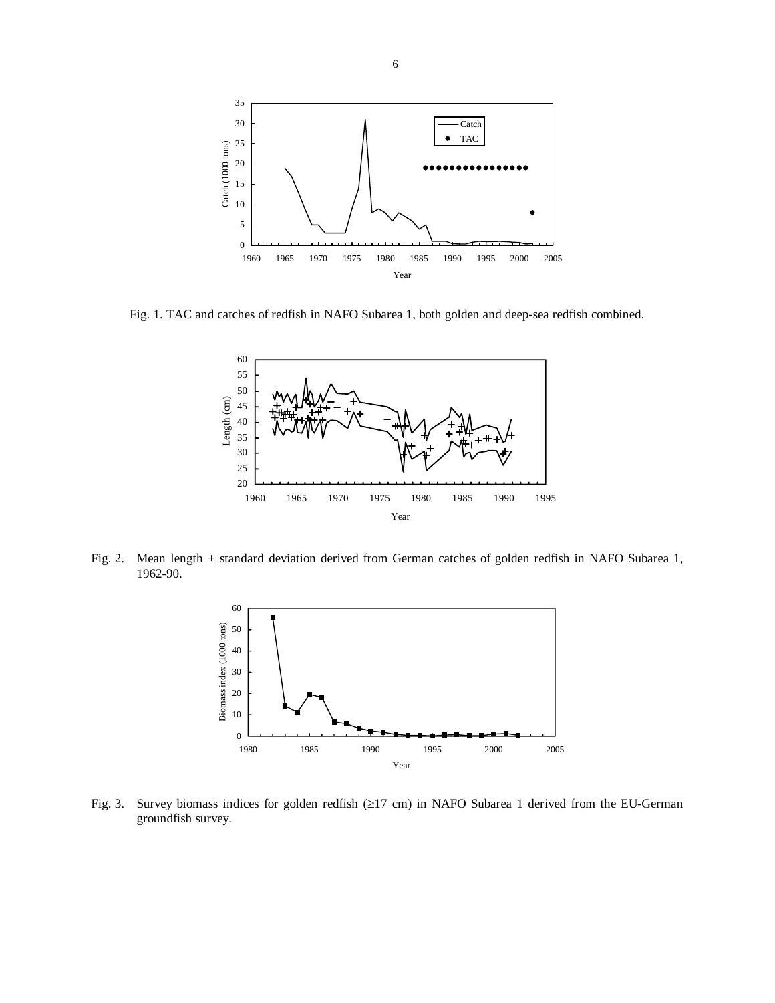

Fig. 1. TAC and catches of redfish in NAFO Subarea 1, both golden and deep-sea redfish combined.



Fig. 2. Mean length ± standard deviation derived from German catches of golden redfish in NAFO Subarea 1, 1962-90.



Fig. 3. Survey biomass indices for golden redfish (≥17 cm) in NAFO Subarea 1 derived from the EU-German groundfish survey.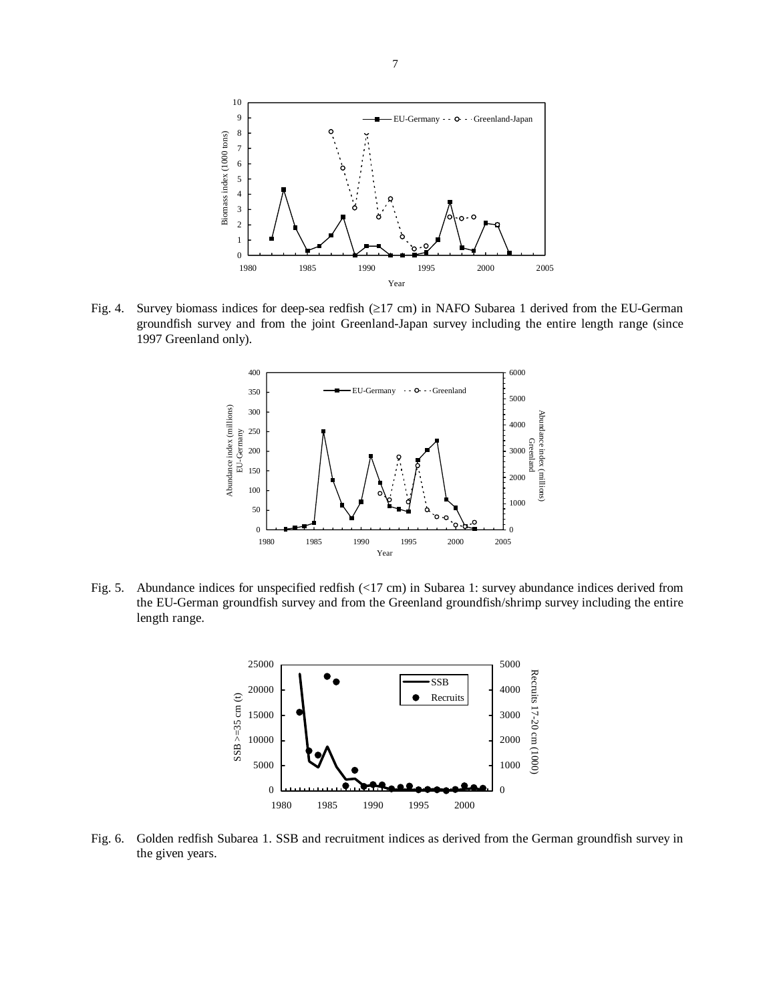

Fig. 4. Survey biomass indices for deep-sea redfish (≥17 cm) in NAFO Subarea 1 derived from the EU-German groundfish survey and from the joint Greenland-Japan survey including the entire length range (since 1997 Greenland only).



Fig. 5. Abundance indices for unspecified redfish (<17 cm) in Subarea 1: survey abundance indices derived from the EU-German groundfish survey and from the Greenland groundfish/shrimp survey including the entire length range.



Fig. 6. Golden redfish Subarea 1. SSB and recruitment indices as derived from the German groundfish survey in the given years.